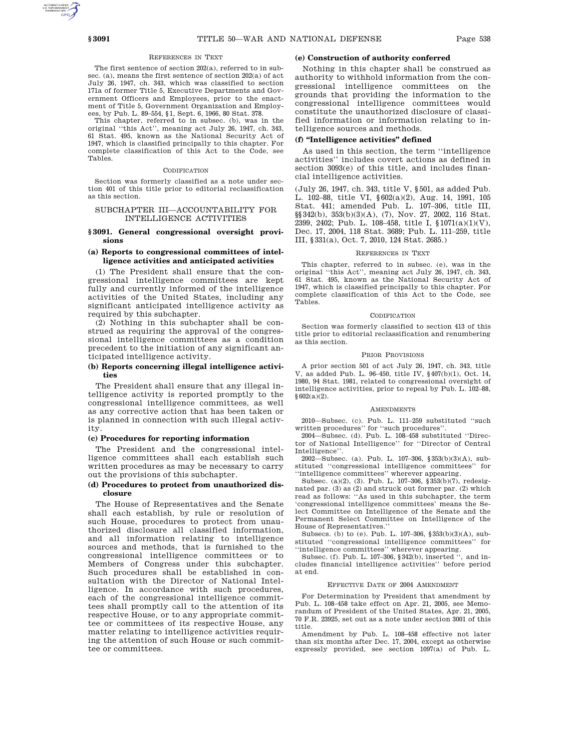# REFERENCES IN TEXT

The first sentence of section 202(a), referred to in subsec. (a), means the first sentence of section 202(a) of act July 26, 1947, ch. 343, which was classified to section 171a of former Title 5, Executive Departments and Government Officers and Employees, prior to the enactment of Title 5, Government Organization and Employees, by Pub. L. 89–554, §1, Sept. 6, 1966, 80 Stat. 378.

This chapter, referred to in subsec. (b), was in the original ''this Act'', meaning act July 26, 1947, ch. 343, 61 Stat. 495, known as the National Security Act of 1947, which is classified principally to this chapter. For complete classification of this Act to the Code, see Tables.

### **CODIFICATION**

Section was formerly classified as a note under section 401 of this title prior to editorial reclassification as this section.

## SUBCHAPTER III—ACCOUNTABILITY FOR INTELLIGENCE ACTIVITIES

## **§ 3091. General congressional oversight provisions**

# **(a) Reports to congressional committees of intelligence activities and anticipated activities**

(1) The President shall ensure that the congressional intelligence committees are kept fully and currently informed of the intelligence activities of the United States, including any significant anticipated intelligence activity as required by this subchapter.

(2) Nothing in this subchapter shall be construed as requiring the approval of the congressional intelligence committees as a condition precedent to the initiation of any significant anticipated intelligence activity.

## **(b) Reports concerning illegal intelligence activities**

The President shall ensure that any illegal intelligence activity is reported promptly to the congressional intelligence committees, as well as any corrective action that has been taken or is planned in connection with such illegal activity.

### **(c) Procedures for reporting information**

The President and the congressional intelligence committees shall each establish such written procedures as may be necessary to carry out the provisions of this subchapter.

### **(d) Procedures to protect from unauthorized disclosure**

The House of Representatives and the Senate shall each establish, by rule or resolution of such House, procedures to protect from unauthorized disclosure all classified information, and all information relating to intelligence sources and methods, that is furnished to the congressional intelligence committees or to Members of Congress under this subchapter. Such procedures shall be established in consultation with the Director of National Intelligence. In accordance with such procedures, each of the congressional intelligence committees shall promptly call to the attention of its respective House, or to any appropriate committee or committees of its respective House, any matter relating to intelligence activities requiring the attention of such House or such committee or committees.

## **(e) Construction of authority conferred**

Nothing in this chapter shall be construed as authority to withhold information from the congressional intelligence committees on the grounds that providing the information to the congressional intelligence committees would constitute the unauthorized disclosure of classified information or information relating to intelligence sources and methods.

## **(f) ''Intelligence activities'' defined**

As used in this section, the term ''intelligence activities'' includes covert actions as defined in section 3093(e) of this title, and includes financial intelligence activities.

(July 26, 1947, ch. 343, title V, §501, as added Pub. L. 102–88, title VI, §602(a)(2), Aug. 14, 1991, 105 Stat. 441; amended Pub. L. 107–306, title III, §§342(b), 353(b)(3)(A), (7), Nov. 27, 2002, 116 Stat. 2399, 2402; Pub. L. 108-458, title I,  $$1071(a)(1)(V)$ , Dec. 17, 2004, 118 Stat. 3689; Pub. L. 111–259, title III, §331(a), Oct. 7, 2010, 124 Stat. 2685.)

### REFERENCES IN TEXT

This chapter, referred to in subsec. (e), was in the original ''this Act'', meaning act July 26, 1947, ch. 343, 61 Stat. 495, known as the National Security Act of 1947, which is classified principally to this chapter. For complete classification of this Act to the Code, see Tables.

#### CODIFICATION

Section was formerly classified to section 413 of this title prior to editorial reclassification and renumbering as this section.

#### PRIOR PROVISIONS

A prior section 501 of act July 26, 1947, ch. 343, title V, as added Pub. L. 96–450, title IV, §407(b)(1), Oct. 14, 1980, 94 Stat. 1981, related to congressional oversight of intelligence activities, prior to repeal by Pub. L. 102–88,  $§ 602(a)(2)$ .

#### **AMENDMENTS**

2010—Subsec. (c). Pub. L. 111–259 substituted ''such written procedures'' for ''such procedures''.

2004—Subsec. (d). Pub. L. 108–458 substituted ''Director of National Intelligence'' for ''Director of Central Intelligence''.

2002—Subsec. (a). Pub. L. 107–306, §353(b)(3)(A), substituted ''congressional intelligence committees'' for ''intelligence committees'' wherever appearing.

Subsec. (a)(2), (3). Pub. L. 107–306, §353(b)(7), redesignated par. (3) as (2) and struck out former par. (2) which read as follows: ''As used in this subchapter, the term 'congressional intelligence committees' means the Select Committee on Intelligence of the Senate and the Permanent Select Committee on Intelligence of the House of Representatives.''

Subsecs. (b) to (e). Pub. L. 107–306, §353(b)(3)(A), substituted "congressional intelligence committees" for ''intelligence committees'' wherever appearing.

Subsec. (f). Pub. L. 107–306, §342(b), inserted '', and includes financial intelligence activities'' before period at end.

#### EFFECTIVE DATE OF 2004 AMENDMENT

For Determination by President that amendment by Pub. L. 108–458 take effect on Apr. 21, 2005, see Memorandum of President of the United States, Apr. 21, 2005, 70 F.R. 23925, set out as a note under section 3001 of this title.

Amendment by Pub. L. 108–458 effective not later than six months after Dec. 17, 2004, except as otherwise expressly provided, see section 1097(a) of Pub. L.